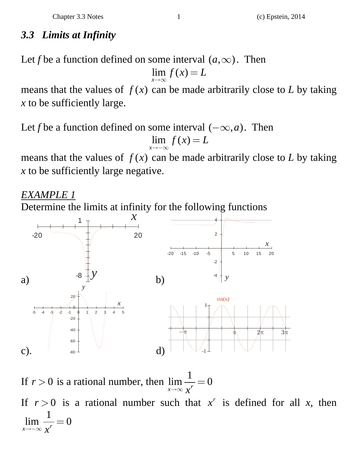## *3.3 Limits at Infinity*

Let *f* be a function defined on some interval  $(a, \infty)$ . Then

 $\lim f(x)$ *x*  $\lim_{x\to\infty} f(x) = L$ 

means that the values of  $f(x)$  can be made arbitrarily close to *L* by taking *x* to be sufficiently large.

Let *f* be a function defined on some interval  $(-\infty, a)$ . Then  $\lim f(x)$ *x*  $\lim_{x\to\infty} f(x) = L$ 

means that the values of  $f(x)$  can be made arbitrarily close to *L* by taking *x* to be sufficiently large negative.

*EXAMPLE 1*

Determine the limits at infinity for the following functions



If  $r > 0$  is a rational number, then  $\lim_{r \to \infty} \frac{1}{r} = 0$  $\lim_{x\to\infty}\frac{1}{x^r} =$ 

If  $r > 0$  is a rational number such that  $x^r$  is defined for all *x*, then  $\lim \frac{1}{x} = 0$  $\lim_{x\to-\infty}\frac{1}{x^r}=0$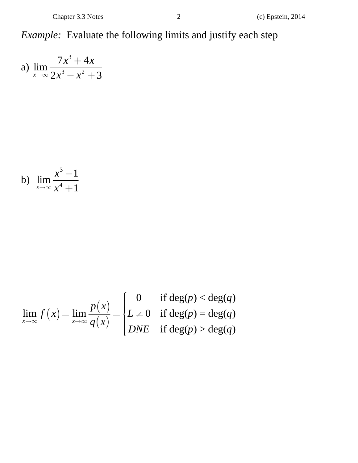Example: Evaluate the following limits and justify each step

a) 
$$
\lim_{x \to \infty} \frac{7x^3 + 4x}{2x^3 - x^2 + 3}
$$

b) 
$$
\lim_{x \to \infty} \frac{x^3 - 1}{x^4 + 1}
$$

$$
\lim_{x \to \infty} f(x) = \lim_{x \to \infty} \frac{p(x)}{q(x)} = \begin{cases} 0 & \text{if } \deg(p) < \deg(q) \\ L \neq 0 & \text{if } \deg(p) = \deg(q) \\ DNE & \text{if } \deg(p) > \deg(q) \end{cases}
$$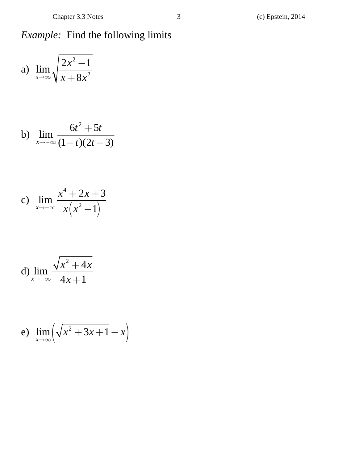## *Example:* Find the following limits

a) 
$$
\lim_{x \to \infty} \sqrt{\frac{2x^2 - 1}{x + 8x^2}}
$$

b) 
$$
\lim_{x \to -\infty} \frac{6t^2 + 5t}{(1-t)(2t - 3)}
$$

c) 
$$
\lim_{x \to -\infty} \frac{x^4 + 2x + 3}{x(x^2 - 1)}
$$

d) 
$$
\lim_{x \to -\infty} \frac{\sqrt{x^2 + 4x}}{4x + 1}
$$

$$
e) \ \lim_{x \to \infty} \left( \sqrt{x^2 + 3x + 1} - x \right)
$$